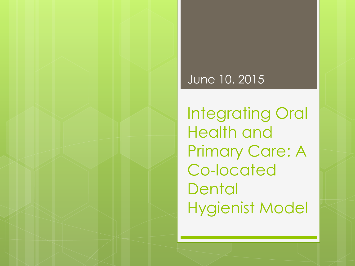#### June 10, 2015

Integrating Oral Health and Primary Care: A Co-located **Dental** Hygienist Model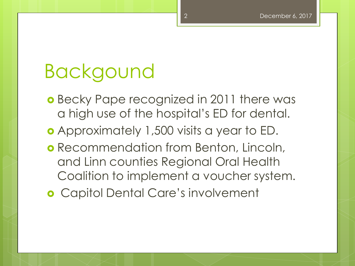## Backgound

- **o** Becky Pape recognized in 2011 there was a high use of the hospital's ED for dental.
- Approximately 1,500 visits a year to ED.
- **o** Recommendation from Benton, Lincoln, and Linn counties Regional Oral Health Coalition to implement a voucher system.
- Capitol Dental Care's involvement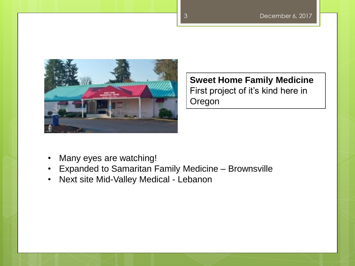3 December 6, 2017



#### **Sweet Home Family Medicine** First project of it's kind here in Oregon

- Many eyes are watching!
- Expanded to Samaritan Family Medicine Brownsville
- Next site Mid-Valley Medical Lebanon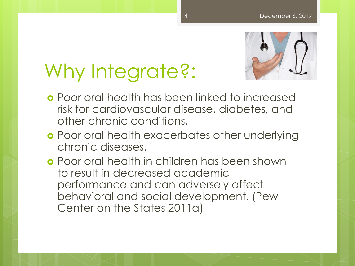# Why Integrate?:



- Poor oral health has been linked to increased risk for cardiovascular disease, diabetes, and other chronic conditions.
- **o** Poor oral health exacerbates other underlying chronic diseases.
- **o** Poor oral health in children has been shown to result in decreased academic performance and can adversely affect behavioral and social development. (Pew Center on the States 2011a)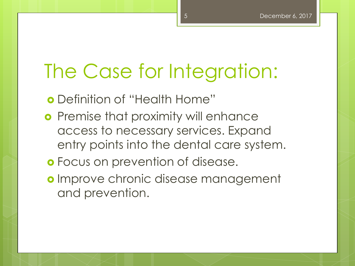## The Case for Integration:

Definition of "Health Home"

- **o** Premise that proximity will enhance access to necessary services. Expand entry points into the dental care system.
- Focus on prevention of disease.
- o Improve chronic disease management and prevention.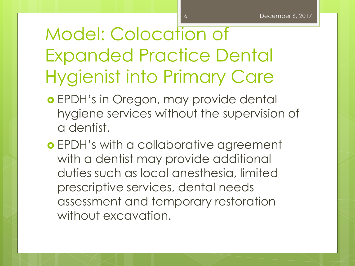## Model: Colocation of Expanded Practice Dental Hygienist into Primary Care

- o EPDH's in Oregon, may provide dental hygiene services without the supervision of a dentist.
- **o** EPDH's with a collaborative agreement with a dentist may provide additional duties such as local anesthesia, limited prescriptive services, dental needs assessment and temporary restoration without excavation.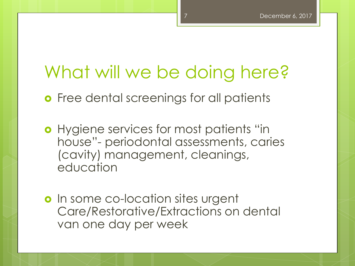### What will we be doing here?

**o** Free dental screenings for all patients

- Hygiene services for most patients "in house"- periodontal assessments, caries (cavity) management, cleanings, education
- o In some co-location sites urgent Care/Restorative/Extractions on dental van one day per week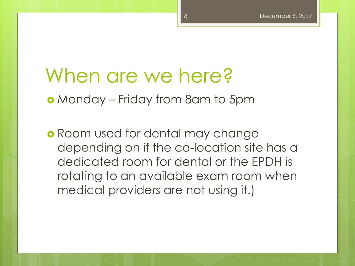## When are we here?

Monday – Friday from 8am to 5pm

**o** Room used for dental may change depending on if the co-location site has a dedicated room for dental or the EPDH is rotating to an available exam room when medical providers are not using it.)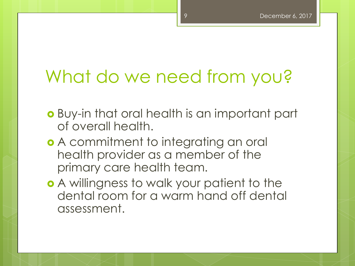## What do we need from you?

- Buy-in that oral health is an important part of overall health.
- **o** A commitment to integrating an oral health provider as a member of the primary care health team.
- A willingness to walk your patient to the dental room for a warm hand off dental assessment.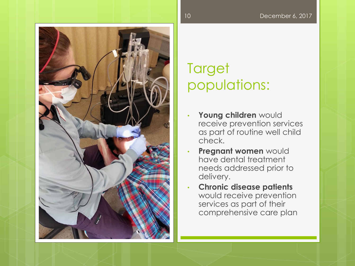

### **Target** populations:

- **Young children** would receive prevention services as part of routine well child check.
- **Pregnant women** would have dental treatment needs addressed prior to delivery.
- **Chronic disease patients**  would receive prevention services as part of their comprehensive care plan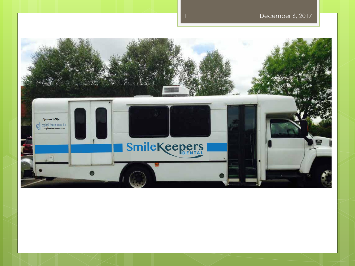#### December 6, 2017